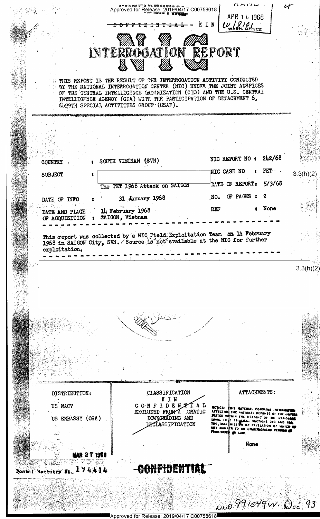Approved for Release: 2019/04/17 C00758618 APR 1 L 1968  $U_{\text{w}}$  810 KIN <del>ብዕN ም T D ጣ N ዋ</del> INTERROGATION REPORT FILE REPORT IS THE RESULT OF THE INTERROOATION ACTIVITY CONDUCTED BY THE NATIONAL INTERROGATION CENTER (NIC) UNDER THE JOINT AUSPICES OF THE CENTRAL INTELLIGENCE ORGANIZATION (CIO) AND THE U.S. CENTRAL INTELLIGENCE AGENCY (CIA) WITH THE PARTICIPATION OF DETACHMENT 6, 6099TH SPECIAL ACTIVITIES GROUP (USAF).  $242/68$ NIC REPORT NO: SOUTH VIETNAM (SVN) **COUNTRY**  $\mathbf{r}$ NIC CASE NO FET.  $3.3(h)(2)$ SUBJECT DATE OF REPORT:  $5/3/68$ The TET 1968 Attack on SAIGON  $\overline{2}$ OF PAGES :  $NO<sub>•</sub>$ 31 January 1968 DATE OF INFO None REF 14 February 1968 DATE AND PLACE SAIGON, Vietnam OF ACQUISITION  $\overline{\mathbf{z}}$ This report was collected by a NIC Field Exploitation Team on 14 February 1968 in SAIGON City, SVN. Source is not available at the NIC for further exploitation.  $3.3(h)(2)$ CLASSIFICATION ATTACHMENTS: DISTRIBUTION: KIN CONFIDENTAL US NACV **HOTICE:** THIS MATERIAL CONTAINS INFORMATION<br>AFECTING THE NATIONAL DEFENSE OF THE HOTEL<br>**STATES** WITHIN THE MEANING OF THE EPIONAL LAWS. TITLE 18 JUS.C. SECTIONS THE AND THE TRANSMISSION OR REVELATION OF WHICH THE<br>ANT MANN EXCLUDED FROM A **OMATIC** DOWNORADING AND US EMBASSY (OSA) DECLASSIFICATION None AAR 27 19**58** CONFIDENTIAL Postal Resistry No. 174414

Approved for Release: 2019/04/17 C00758618

NNO 991549W. Doc. 93